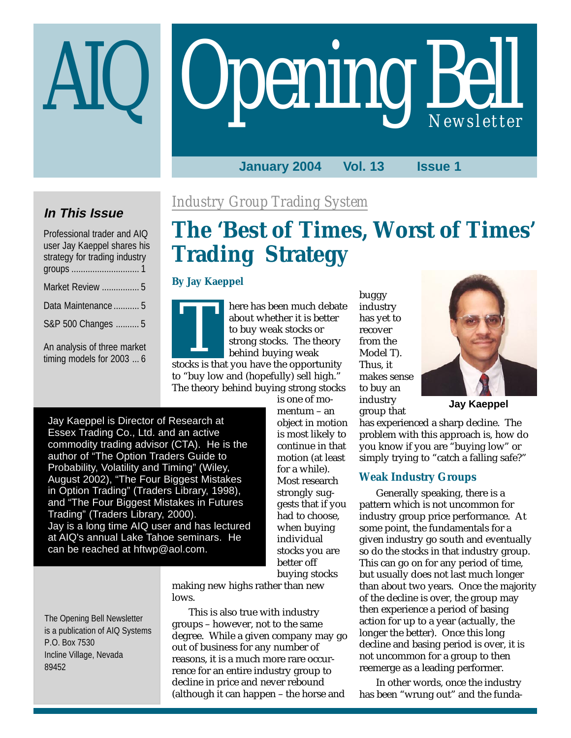# **Opening Bell**

# **January 2004 Vol. 13 Issue 1**

# **In This Issue**

| Professional trader and AIQ<br>user Jay Kaeppel shares his<br>strategy for trading industry |
|---------------------------------------------------------------------------------------------|
| Market Review  5                                                                            |
| Data Maintenance  5                                                                         |
| S&P 500 Changes  5                                                                          |
| An analysis of three market<br>timing models for 2003  6                                    |

# *Industry Group Trading System*

# **The 'Best of Times, Worst of Times' Trading Strategy**

# **By Jay Kaeppel**

here has been much debate about whether it is better to buy weak stocks or strong stocks. The theory behind buying weak stocks is that you have the opportunity

to "buy low and (hopefully) sell high." The theory behind buying strong stocks is one of mo-

Jay Kaeppel is Director of Research at Essex Trading Co., Ltd. and an active commodity trading advisor (CTA). He is the author of "The Option Traders Guide to Probability, Volatility and Timing" (Wiley, August 2002), "The Four Biggest Mistakes in Option Trading" (Traders Library, 1998), and "The Four Biggest Mistakes in Futures Trading" (Traders Library, 2000). Jay is a long time AIQ user and has lectured at AIQ's annual Lake Tahoe seminars. He can be reached at hftwp@aol.com.

mentum – an object in motion is most likely to continue in that motion (at least for a while). Most research strongly suggests that if you had to choose, when buying individual stocks you are better off buying stocks

making new highs rather than new lows.

This is also true with industry groups – however, not to the same degree. While a given company may go out of business for any number of reasons, it is a much more rare occurrence for an entire industry group to decline in price and never rebound (although it can happen – the horse and

buggy industry has yet to recover from the Model T). Thus, it makes sense to buy an industry group that



**Jay Kaeppel**

has experienced a sharp decline. The problem with this approach is, how do you know if you are "buying low" or simply trying to "catch a falling safe?"

# **Weak Industry Groups**

Generally speaking, there is a pattern which is not uncommon for industry group price performance. At some point, the fundamentals for a given industry go south and eventually so do the stocks in that industry group. This can go on for any period of time, but usually does not last much longer than about two years. Once the majority of the decline is over, the group may then experience a period of basing action for up to a year (actually, the longer the better). Once this long decline and basing period is over, it is not uncommon for a group to then reemerge as a leading performer.

In other words, once the industry has been "wrung out" and the funda-

The Opening Bell Newsletter is a publication of AIQ Systems P.O. Box 7530 Incline Village, Nevada 89452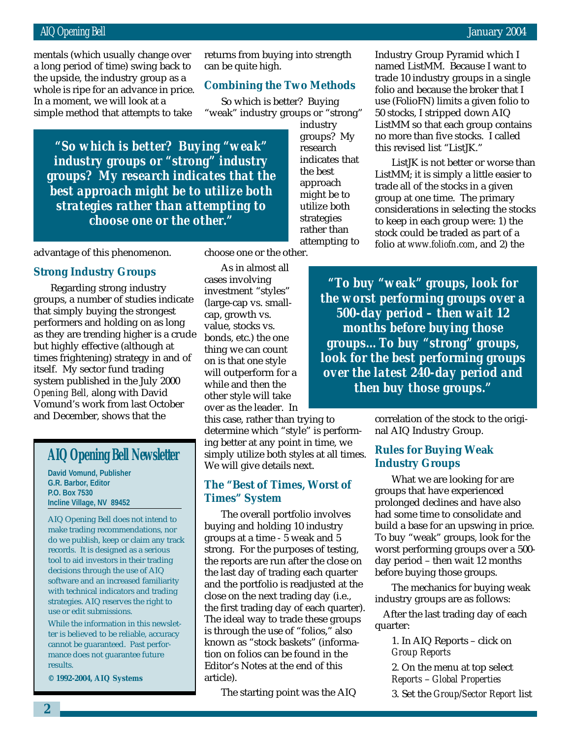# AIQ Opening Bell January 2004

whole is ripe for an advance in price.<br>. mentals (which usually change over a long period of time) swing back to the upside, the industry group as a In a moment, we will look at a simple method that attempts to take

returns from buying into strength can be quite high.

# **Combining the Two Methods**

So which is better? Buying "weak" industry groups or "strong"

> industry groups? My research indicates that the best approach might be to utilize both strategies rather than attempting to

*"So which is better? Buying "weak" industry groups or "strong" industry groups? My research indicates that the best approach might be to utilize both strategies rather than attempting to choose one or the other."*

advantage of this phenomenon.

# **Strong Industry Groups**

Regarding strong industry groups, a number of studies indicate that simply buying the strongest performers and holding on as long as they are trending higher is a crude but highly effective (although at times frightening) strategy in and of itself. My sector fund trading system published in the July 2000 *Opening Bell,* along with David Vomund's work from last October and December, shows that the

# **AIQ Opening Bell Newsletter**

**David Vomund, Publisher G.R. Barbor, Editor P.O. Box 7530 Incline Village, NV 89452**

AIQ Opening Bell does not intend to make trading recommendations, nor do we publish, keep or claim any track records. It is designed as a serious tool to aid investors in their trading decisions through the use of AIQ software and an increased familiarity with technical indicators and trading strategies. AIQ reserves the right to use or edit submissions.

While the information in this newsletter is believed to be reliable, accuracy cannot be guaranteed. Past performance does not guarantee future results.

**© 1992-2004, AIQ Systems**

choose one or the other.

As in almost all cases involving investment "styles" (large-cap vs. smallcap, growth vs. value, stocks vs. bonds, etc.) the one thing we can count on is that one style will outperform for a while and then the other style will take over as the leader. In

this case, rather than trying to determine which "style" is performing better at any point in time, we simply utilize both styles at all times. We will give details next.

# **The "Best of Times, Worst of Times" System**

The overall portfolio involves buying and holding 10 industry groups at a time - 5 weak and 5 strong. For the purposes of testing, the reports are run after the close on the last day of trading each quarter and the portfolio is readjusted at the close on the next trading day (i.e., the first trading day of each quarter). The ideal way to trade these groups is through the use of "folios," also known as "stock baskets" (information on folios can be found in the Editor's Notes at the end of this article).

The starting point was the AIQ

Industry Group Pyramid which I named ListMM. Because I want to trade 10 industry groups in a single folio and because the broker that I use (FolioFN) limits a given folio to 50 stocks, I stripped down AIQ ListMM so that each group contains no more than five stocks. I called this revised list "ListJK."

ListJK is not better or worse than ListMM; it is simply a little easier to trade all of the stocks in a given group at one time. The primary considerations in selecting the stocks to keep in each group were: 1) the stock could be traded as part of a folio at *www.foliofn.com*, and 2) the

*"To buy "weak" groups, look for the worst performing groups over a 500-day period – then wait 12 months before buying those groups…To buy "strong" groups, look for the best performing groups over the latest 240-day period and then buy those groups."*

> correlation of the stock to the original AIQ Industry Group.

# **Rules for Buying Weak Industry Groups**

What we are looking for are groups that have experienced prolonged declines and have also had some time to consolidate and build a base for an upswing in price. To buy "weak" groups, look for the worst performing groups over a 500 day period – then wait 12 months before buying those groups.

The mechanics for buying weak industry groups are as follows:

After the last trading day of each quarter:

1. In AIQ Reports – click on *Group Reports*

2. On the menu at top select *Reports* – *Global Properties* 3. Set the *Group/Sector Report* list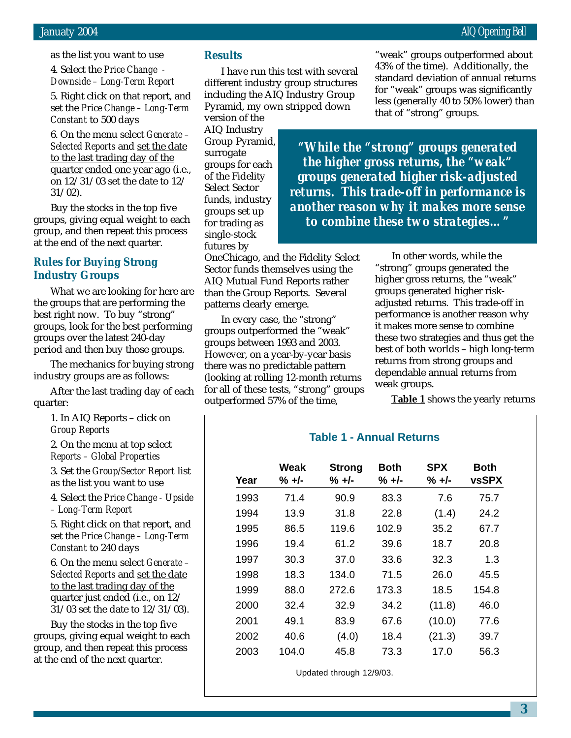as the list you want to use

4. Select the *Price Change - Downside – Long-Term Report*

5. Right click on that report, and set the *Price Change – Long-Term Constant* to 500 days

6. On the menu select *Generate – Selected Reports* and set the date to the last trading day of the quarter ended one year ago (i.e., on 12/31/03 set the date to 12/ 31/02).

Buy the stocks in the top five groups, giving equal weight to each group, and then repeat this process at the end of the next quarter.

# **Rules for Buying Strong Industry Groups**

What we are looking for here are the groups that are performing the best right now. To buy "strong" groups, look for the best performing groups over the latest 240-day period and then buy those groups.

The mechanics for buying strong industry groups are as follows:

After the last trading day of each quarter:

> 1. In AIQ Reports – click on *Group Reports*

2. On the menu at top select *Reports – Global Properties*

3. Set the *Group/Sector Report* list as the list you want to use

4. Select the *Price Change - Upside – Long-Term Report*

5. Right click on that report, and set the *Price Change – Long-Term Constant* to 240 days

6. On the menu select *Generate – Selected Reports* and set the date to the last trading day of the quarter just ended (i.e., on 12/ 31/03 set the date to 12/31/03).

Buy the stocks in the top five groups, giving equal weight to each group, and then repeat this process at the end of the next quarter.

# **Results**

I have run this test with several different industry group structures including the AIQ Industry Group Pyramid, my own stripped down

version of the AIQ Industry Group Pyramid, surrogate groups for each of the Fidelity Select Sector funds, industry groups set up for trading as single-stock futures by

OneChicago, and the Fidelity Select Sector funds themselves using the AIQ Mutual Fund Reports rather than the Group Reports. Several patterns clearly emerge.

In every case, the "strong" groups outperformed the "weak" groups between 1993 and 2003. However, on a year-by-year basis there was no predictable pattern (looking at rolling 12-month returns for all of these tests, "strong" groups outperformed 57% of the time,

"weak" groups outperformed about 43% of the time). Additionally, the standard deviation of annual returns for "weak" groups was significantly less (generally 40 to 50% lower) than that of "strong" groups.

*"While the "strong" groups generated the higher gross returns, the "weak" groups generated higher risk-adjusted returns. This trade-off in performance is another reason why it makes more sense to combine these two strategies…"*

> In other words, while the "strong" groups generated the higher gross returns, the "weak" groups generated higher riskadjusted returns. This trade-off in performance is another reason why it makes more sense to combine these two strategies and thus get the best of both worlds – high long-term returns from strong groups and dependable annual returns from weak groups.

**Table 1** shows the yearly returns

# **Table 1 - Annual Returns**

| Year | Weak<br>% +/- | <b>Strong</b><br>% +/- | Both<br>$% +/-$ | <b>SPX</b><br>% +/- | Both<br>vsSPX |
|------|---------------|------------------------|-----------------|---------------------|---------------|
| 1993 | 71.4          | 90.9                   | 83.3            | 7.6                 | 75.7          |
| 1994 | 13.9          | 31.8                   | 22.8            | (1.4)               | 24.2          |
| 1995 | 86.5          | 119.6                  | 102.9           | 35.2                | 67.7          |
| 1996 | 19.4          | 61.2                   | 39.6            | 18.7                | 20.8          |
| 1997 | 30.3          | 37.0                   | 33.6            | 32.3                | 1.3           |
| 1998 | 18.3          | 134.0                  | 71.5            | 26.0                | 45.5          |
| 1999 | 88.0          | 272.6                  | 173.3           | 18.5                | 154.8         |
| 2000 | 32.4          | 32.9                   | 34.2            | (11.8)              | 46.0          |
| 2001 | 49.1          | 83.9                   | 67.6            | (10.0)              | 77.6          |
| 2002 | 40.6          | (4.0)                  | 18.4            | (21.3)              | 39.7          |
| 2003 | 104.0         | 45.8                   | 73.3            | 17.0                | 56.3          |

Updated through 12/9/03.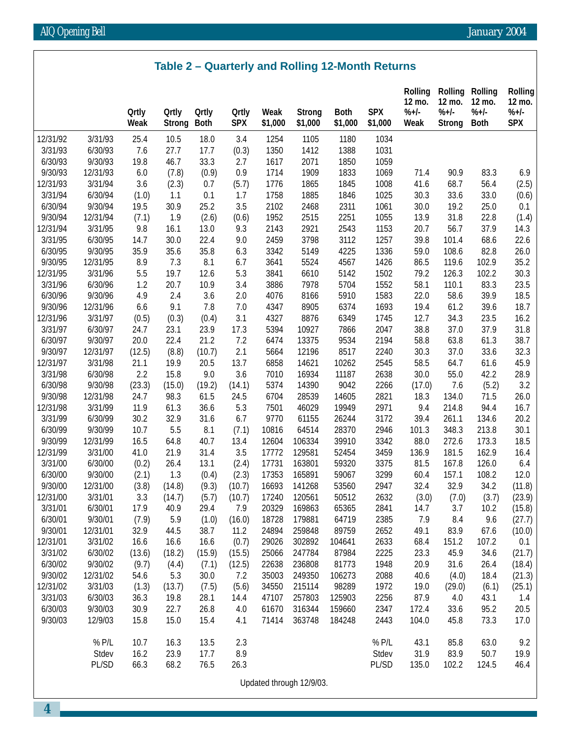|  |  | Table 2 – Quarterly and Rolling 12-Month Returns |
|--|--|--------------------------------------------------|
|--|--|--------------------------------------------------|

|          |          | <b>Ortly</b><br>Weak | <b>Ortly</b><br><b>Strong</b> | <b>Ortly</b><br><b>Both</b> | <b>Qrtly</b><br><b>SPX</b> | Weak<br>\$1,000 | <b>Strong</b><br>\$1,000 | <b>Both</b><br>\$1,000 | <b>SPX</b><br>\$1,000 | <b>Rolling</b><br>12 mo.<br>$%+/-$<br>Weak | <b>Rolling</b><br>12 mo.<br>$%+/-$<br><b>Strong</b> | Rolling<br>12 mo.<br>$%+/-$<br><b>Both</b> | Rolling<br>12 mo.<br>$% +1-$<br><b>SPX</b> |
|----------|----------|----------------------|-------------------------------|-----------------------------|----------------------------|-----------------|--------------------------|------------------------|-----------------------|--------------------------------------------|-----------------------------------------------------|--------------------------------------------|--------------------------------------------|
| 12/31/92 | 3/31/93  | 25.4                 | 10.5                          | 18.0                        | 3.4                        | 1254            | 1105                     | 1180                   | 1034                  |                                            |                                                     |                                            |                                            |
| 3/31/93  | 6/30/93  | 7.6                  | 27.7                          | 17.7                        | (0.3)                      | 1350            | 1412                     | 1388                   | 1031                  |                                            |                                                     |                                            |                                            |
| 6/30/93  | 9/30/93  | 19.8                 | 46.7                          | 33.3                        | 2.7                        | 1617            | 2071                     | 1850                   | 1059                  |                                            |                                                     |                                            |                                            |
| 9/30/93  | 12/31/93 | 6.0                  | (7.8)                         | (0.9)                       | 0.9                        | 1714            | 1909                     | 1833                   | 1069                  | 71.4                                       | 90.9                                                | 83.3                                       | 6.9                                        |
| 12/31/93 | 3/31/94  | 3.6                  | (2.3)                         | 0.7                         | (5.7)                      | 1776            | 1865                     | 1845                   | 1008                  | 41.6                                       | 68.7                                                | 56.4                                       | (2.5)                                      |
| 3/31/94  | 6/30/94  | (1.0)                | 1.1                           | 0.1                         | 1.7                        | 1758            | 1885                     | 1846                   | 1025                  | 30.3                                       | 33.6                                                | 33.0                                       | (0.6)                                      |
| 6/30/94  | 9/30/94  | 19.5                 | 30.9                          | 25.2                        | 3.5                        | 2102            | 2468                     | 2311                   | 1061                  | 30.0                                       | 19.2                                                | 25.0                                       | 0.1                                        |
| 9/30/94  | 12/31/94 | (7.1)                | 1.9                           | (2.6)                       | (0.6)                      | 1952            | 2515                     | 2251                   | 1055                  | 13.9                                       | 31.8                                                | 22.8                                       | (1.4)                                      |
| 12/31/94 | 3/31/95  | 9.8                  | 16.1                          | 13.0                        | 9.3                        | 2143            | 2921                     | 2543                   | 1153                  | 20.7                                       | 56.7                                                | 37.9                                       | 14.3                                       |
| 3/31/95  | 6/30/95  | 14.7                 | 30.0                          | 22.4                        | 9.0                        | 2459            | 3798                     | 3112                   | 1257                  | 39.8                                       | 101.4                                               | 68.6                                       | 22.6                                       |
| 6/30/95  | 9/30/95  | 35.9                 | 35.6                          | 35.8                        | 6.3                        | 3342            | 5149                     | 4225                   | 1336                  | 59.0                                       | 108.6                                               | 82.8                                       | 26.0                                       |
| 9/30/95  | 12/31/95 | 8.9                  | 7.3                           | 8.1                         | 6.7                        | 3641            | 5524                     | 4567                   | 1426                  | 86.5                                       | 119.6                                               | 102.9                                      | 35.2                                       |
| 12/31/95 | 3/31/96  | 5.5                  | 19.7                          | 12.6                        | 5.3                        | 3841            | 6610                     | 5142                   | 1502                  | 79.2                                       | 126.3                                               | 102.2                                      | 30.3                                       |
| 3/31/96  | 6/30/96  | 1.2                  | 20.7                          | 10.9                        | 3.4                        | 3886            | 7978                     | 5704                   | 1552                  | 58.1                                       | 110.1                                               | 83.3                                       | 23.5                                       |
| 6/30/96  | 9/30/96  | 4.9                  | 2.4                           | 3.6                         | 2.0                        | 4076            | 8166                     | 5910                   | 1583                  | 22.0                                       | 58.6                                                | 39.9                                       | 18.5                                       |
| 9/30/96  | 12/31/96 | 6.6                  | 9.1                           | 7.8                         | 7.0                        | 4347            | 8905                     | 6374                   | 1693                  | 19.4                                       | 61.2                                                | 39.6                                       | 18.7                                       |
| 12/31/96 | 3/31/97  | (0.5)                | (0.3)                         | (0.4)                       | 3.1                        | 4327            | 8876                     | 6349                   | 1745                  | 12.7                                       | 34.3                                                | 23.5                                       | 16.2                                       |
| 3/31/97  | 6/30/97  | 24.7                 | 23.1                          | 23.9                        | 17.3                       | 5394            | 10927                    | 7866                   | 2047                  | 38.8                                       | 37.0                                                | 37.9                                       | 31.8                                       |
| 6/30/97  | 9/30/97  | 20.0                 | 22.4                          | 21.2                        | 7.2                        | 6474            | 13375                    | 9534                   | 2194                  | 58.8                                       | 63.8                                                | 61.3                                       | 38.7                                       |
| 9/30/97  | 12/31/97 | (12.5)               | (8.8)                         | (10.7)                      | 2.1                        | 5664            | 12196                    | 8517                   | 2240                  | 30.3                                       | 37.0                                                | 33.6                                       | 32.3                                       |
| 12/31/97 | 3/31/98  | 21.1                 | 19.9                          | 20.5                        | 13.7                       | 6858            | 14621                    | 10262                  | 2545                  | 58.5                                       | 64.7                                                | 61.6                                       | 45.9                                       |
| 3/31/98  | 6/30/98  | 2.2                  | 15.8                          | 9.0                         | 3.6                        | 7010            | 16934                    | 11187                  | 2638                  | 30.0                                       | 55.0                                                | 42.2                                       | 28.9                                       |
| 6/30/98  | 9/30/98  | (23.3)               | (15.0)                        | (19.2)                      | (14.1)                     | 5374            | 14390                    | 9042                   | 2266                  | (17.0)                                     | 7.6                                                 | (5.2)                                      | 3.2                                        |
| 9/30/98  | 12/31/98 | 24.7                 | 98.3                          | 61.5                        | 24.5                       | 6704            | 28539                    | 14605                  | 2821                  | 18.3                                       | 134.0                                               | 71.5                                       | 26.0                                       |
| 12/31/98 | 3/31/99  | 11.9                 | 61.3                          | 36.6                        | 5.3                        | 7501            | 46029                    | 19949                  | 2971                  | 9.4                                        | 214.8                                               | 94.4                                       | 16.7                                       |
| 3/31/99  | 6/30/99  | 30.2                 | 32.9                          | 31.6                        | 6.7                        | 9770            | 61155                    | 26244                  | 3172                  | 39.4                                       | 261.1                                               | 134.6                                      | 20.2                                       |
| 6/30/99  | 9/30/99  | 10.7                 | 5.5                           | 8.1                         | (7.1)                      | 10816           | 64514                    | 28370                  | 2946                  | 101.3                                      | 348.3                                               | 213.8                                      | 30.1                                       |
| 9/30/99  | 12/31/99 | 16.5                 | 64.8                          | 40.7                        | 13.4                       | 12604           | 106334                   | 39910                  | 3342                  | 88.0                                       | 272.6                                               | 173.3                                      | 18.5                                       |
| 12/31/99 | 3/31/00  | 41.0                 | 21.9                          | 31.4                        | 3.5                        | 17772           | 129581                   | 52454                  | 3459                  | 136.9                                      | 181.5                                               | 162.9                                      | 16.4                                       |
| 3/31/00  | 6/30/00  | (0.2)                | 26.4                          | 13.1                        | (2.4)                      | 17731           | 163801                   | 59320                  | 3375                  | 81.5                                       | 167.8                                               | 126.0                                      | 6.4                                        |
| 6/30/00  | 9/30/00  | (2.1)                | 1.3                           | (0.4)                       | (2.3)                      | 17353           | 165891                   | 59067                  | 3299                  | 60.4                                       | 157.1                                               | 108.2                                      | 12.0                                       |
| 9/30/00  | 12/31/00 | (3.8)                | (14.8)                        | (9.3)                       | (10.7)                     | 16693           | 141268                   | 53560                  | 2947                  | 32.4                                       | 32.9                                                | 34.2                                       | (11.8)                                     |
| 12/31/00 | 3/31/01  | 3.3                  | (14.7)                        | (5.7)                       | (10.7)                     | 17240           | 120561                   | 50512                  | 2632                  | (3.0)                                      | (7.0)                                               | (3.7)                                      | (23.9)                                     |
| 3/31/01  | 6/30/01  | 17.9                 | 40.9                          | 29.4                        | 7.9                        | 20329           | 169863                   | 65365                  | 2841                  | 14.7                                       | 3.7                                                 | 10.2                                       | (15.8)                                     |
| 6/30/01  | 9/30/01  | (7.9)                | 5.9                           | (1.0)                       | (16.0)                     | 18728           | 179881                   | 64719                  | 2385                  | 7.9                                        | 8.4                                                 | 9.6                                        | (27.7)                                     |
| 9/30/01  | 12/31/01 | 32.9                 | 44.5                          | 38.7                        | 11.2                       | 24894           | 259848                   | 89759                  | 2652                  | 49.1                                       | 83.9                                                | 67.6                                       | (10.0)                                     |
| 12/31/01 | 3/31/02  | 16.6                 | 16.6                          | 16.6                        | (0.7)                      | 29026           | 302892                   | 104641                 | 2633                  | 68.4                                       | 151.2                                               | 107.2                                      | 0.1                                        |
| 3/31/02  | 6/30/02  | (13.6)               | (18.2)                        | (15.9)                      | (15.5)                     | 25066           | 247784                   | 87984                  | 2225                  | 23.3                                       | 45.9                                                | 34.6                                       | (21.7)                                     |
| 6/30/02  | 9/30/02  | (9.7)                | (4.4)                         | (7.1)                       | (12.5)                     | 22638           | 236808                   | 81773                  | 1948                  | 20.9                                       | 31.6                                                | 26.4                                       | (18.4)                                     |
| 9/30/02  | 12/31/02 | 54.6                 | 5.3                           | 30.0                        | 7.2                        | 35003           | 249350                   | 106273                 | 2088                  | 40.6                                       | (4.0)                                               | 18.4                                       | (21.3)                                     |
| 12/31/02 | 3/31/03  | (1.3)                | (13.7)                        | (7.5)                       | (5.6)                      | 34550           | 215114                   | 98289                  | 1972                  | 19.0                                       | (29.0)                                              | (6.1)                                      | (25.1)                                     |
| 3/31/03  | 6/30/03  | 36.3                 | 19.8                          | 28.1                        | 14.4                       | 47107           | 257803                   | 125903                 | 2256                  | 87.9                                       | 4.0                                                 | 43.1                                       | 1.4                                        |
| 6/30/03  | 9/30/03  | 30.9                 | 22.7                          | 26.8                        | 4.0                        | 61670           | 316344                   | 159660                 | 2347                  | 172.4                                      | 33.6                                                | 95.2                                       | 20.5                                       |
| 9/30/03  | 12/9/03  | 15.8                 | 15.0                          | 15.4                        | 4.1                        | 71414           | 363748                   | 184248                 | 2443                  | 104.0                                      | 45.8                                                | 73.3                                       | 17.0                                       |
|          | % P/L    | 10.7                 | 16.3                          | 13.5                        | 2.3                        |                 |                          |                        | % P/L                 | 43.1                                       | 85.8                                                | 63.0                                       | 9.2                                        |
|          | Stdev    | 16.2                 | 23.9                          | 17.7                        | 8.9                        |                 |                          |                        | Stdev                 | 31.9                                       | 83.9                                                | 50.7                                       | 19.9                                       |
|          | PL/SD    | 66.3                 | 68.2                          | 76.5                        | 26.3                       |                 |                          |                        | PL/SD                 | 135.0                                      | 102.2                                               | 124.5                                      | 46.4                                       |
|          |          |                      |                               |                             |                            |                 |                          |                        |                       |                                            |                                                     |                                            |                                            |

Updated through 12/9/03.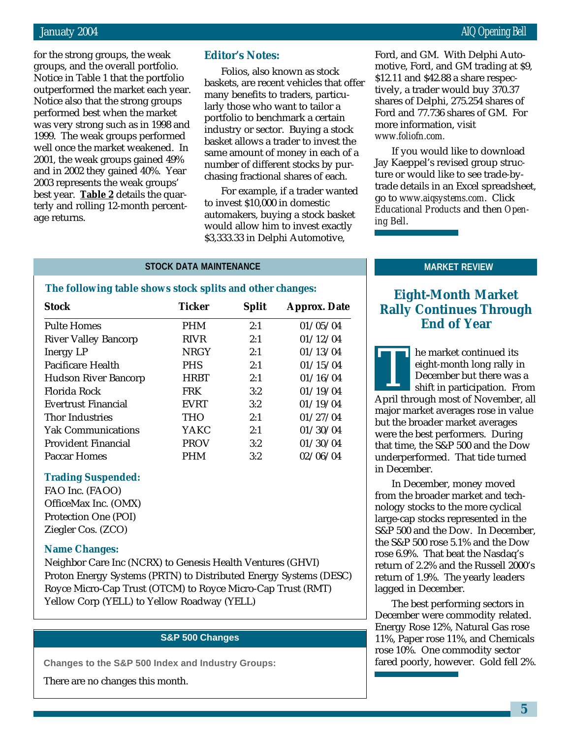for the strong groups, the weak groups, and the overall portfolio. Notice in Table 1 that the portfolio outperformed the market each year. Notice also that the strong groups performed best when the market was very strong such as in 1998 and 1999. The weak groups performed well once the market weakened. In 2001, the weak groups gained 49% and in 2002 they gained 40%. Year 2003 represents the weak groups' best year. **Table 2** details the quarterly and rolling 12-month percentage returns.

# **Editor's Notes:**

Folios, also known as stock baskets, are recent vehicles that offer many benefits to traders, particularly those who want to tailor a portfolio to benchmark a certain industry or sector. Buying a stock basket allows a trader to invest the same amount of money in each of a number of different stocks by purchasing fractional shares of each.

For example, if a trader wanted to invest \$10,000 in domestic automakers, buying a stock basket would allow him to invest exactly \$3,333.33 in Delphi Automotive,

Ford, and GM. With Delphi Automotive, Ford, and GM trading at \$9, \$12.11 and \$42.88 a share respectively, a trader would buy 370.37 shares of Delphi, 275.254 shares of Ford and 77.736 shares of GM. For more information, visit *www.foliofn.com.*

If you would like to download Jay Kaeppel's revised group structure or would like to see trade-bytrade details in an Excel spreadsheet, go to *www.aiqsystems.com*. Click *Educational Products* and then *Opening Bell*.

# **STOCK DATA MAINTENANCE MARKET REVIEW**

# **The following table shows stock splits and other changes:**

| <b>Stock</b>                | <b>Ticker</b> | <b>Split</b> | <b>Approx. Date</b> |
|-----------------------------|---------------|--------------|---------------------|
| <b>Pulte Homes</b>          | <b>PHM</b>    | 2:1          | 01/05/04            |
| <b>River Valley Bancorp</b> | <b>RIVR</b>   | 2:1          | 01/12/04            |
| <b>Inergy LP</b>            | <b>NRGY</b>   | 2:1          | 01/13/04            |
| Pacificare Health           | <b>PHS</b>    | 2:1          | 01/15/04            |
| <b>Hudson River Bancorp</b> | <b>HRBT</b>   | 2:1          | 01/16/04            |
| Florida Rock                | <b>FRK</b>    | 3:2          | 01/19/04            |
| Evertrust Financial         | <b>EVRT</b>   | 3:2          | 01/19/04            |
| <b>Thor Industries</b>      | <b>THO</b>    | 2:1          | 01/27/04            |
| <b>Yak Communications</b>   | YAKC          | 2:1          | 01/30/04            |
| <b>Provident Financial</b>  | <b>PROV</b>   | 3:2          | 01/30/04            |
| Paccar Homes                | PHM           | 3:2          | 02/06/04            |

## **Trading Suspended:**

FAO Inc. (FAOO) OfficeMax Inc. (OMX) Protection One (POI) Ziegler Cos. (ZCO)

# **Name Changes:**

Neighbor Care Inc (NCRX) to Genesis Health Ventures (GHVI) Proton Energy Systems (PRTN) to Distributed Energy Systems (DESC) Royce Micro-Cap Trust (OTCM) to Royce Micro-Cap Trust (RMT) Yellow Corp (YELL) to Yellow Roadway (YELL)

# **S&P 500 Changes**

**Changes to the S&P 500 Index and Industry Groups:**

There are no changes this month.

# **Eight-Month Market Rally Continues Through End of Year**

he market continued its eight-month long rally in December but there was a shift in participation. From Fight-month long rally in<br>
December but there was a<br>
shift in participation. From<br>
April through most of November, all major market averages rose in value but the broader market averages were the best performers. During that time, the S&P 500 and the Dow underperformed. That tide turned in December.

In December, money moved from the broader market and technology stocks to the more cyclical large-cap stocks represented in the S&P 500 and the Dow. In December, the S&P 500 rose 5.1% and the Dow rose 6.9%. That beat the Nasdaq's return of 2.2% and the Russell 2000's return of 1.9%. The yearly leaders lagged in December.

The best performing sectors in December were commodity related. Energy Rose 12%, Natural Gas rose 11%, Paper rose 11%, and Chemicals rose 10%. One commodity sector fared poorly, however. Gold fell 2%.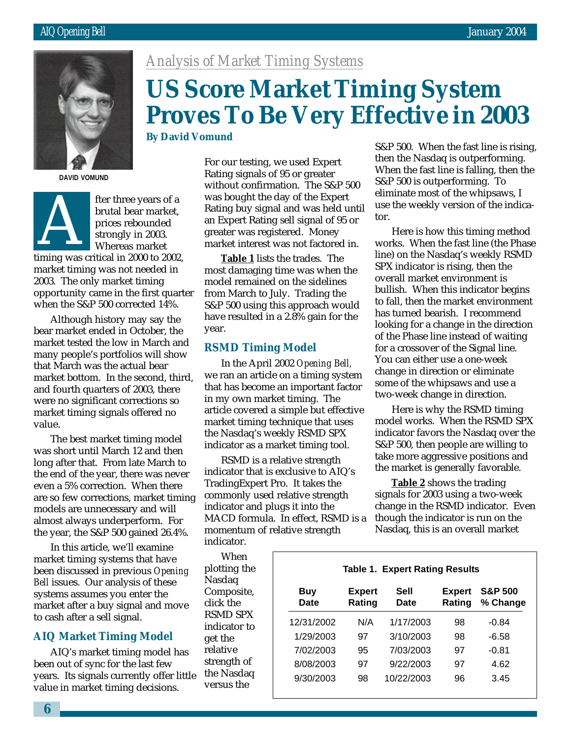

**DAVID VOMUND**



fter three years of a brutal bear market, prices rebounded strongly in 2003. Whereas market ther time years of a<br>brutal bear market,<br>prices rebounded<br>strongly in 2003.<br>Whereas market<br>timing was critical in 2000 to 2002,

market timing was not needed in 2003. The only market timing opportunity came in the first quarter when the S&P 500 corrected 14%.

Although history may say the bear market ended in October, the market tested the low in March and many people's portfolios will show that March was the actual bear market bottom. In the second, third, and fourth quarters of 2003, there were no significant corrections so market timing signals offered no value.

The best market timing model was short until March 12 and then long after that. From late March to the end of the year, there was never even a 5% correction. When there are so few corrections, market timing models are unnecessary and will almost always underperform. For the year, the S&P 500 gained 26.4%.

In this article, we'll examine market timing systems that have been discussed in previous *Opening Bell* issues. Our analysis of these systems assumes you enter the market after a buy signal and move to cash after a sell signal.

# **AIQ Market Timing Model**

AIQ's market timing model has been out of sync for the last few years. Its signals currently offer little value in market timing decisions.

*Analysis of Market Timing Systems*

# **US Score Market Timing System Proves To Be Very Effective in 2003**

**By David Vomund**

For our testing, we used Expert Rating signals of 95 or greater without confirmation. The S&P 500 was bought the day of the Expert Rating buy signal and was held until an Expert Rating sell signal of 95 or greater was registered. Money market interest was not factored in.

**Table 1** lists the trades. The most damaging time was when the model remained on the sidelines from March to July. Trading the S&P 500 using this approach would have resulted in a 2.8% gain for the year.

# **RSMD Timing Model**

In the April 2002 *Opening Bell,* we ran an article on a timing system that has become an important factor in my own market timing. The article covered a simple but effective market timing technique that uses the Nasdaq's weekly RSMD SPX indicator as a market timing tool.

RSMD is a relative strength indicator that is exclusive to AIQ's TradingExpert Pro. It takes the commonly used relative strength indicator and plugs it into the MACD formula. In effect, RSMD is a momentum of relative strength indicator.

When plotting the Nasdaq Composite, click the RSMD SPX indicator to get the relative strength of the Nasdaq versus the

S&P 500. When the fast line is rising, then the Nasdaq is outperforming. When the fast line is falling, then the S&P 500 is outperforming. To eliminate most of the whipsaws, I use the weekly version of the indicator.

Here is how this timing method works. When the fast line (the Phase line) on the Nasdaq's weekly RSMD SPX indicator is rising, then the overall market environment is bullish. When this indicator begins to fall, then the market environment has turned bearish. I recommend looking for a change in the direction of the Phase line instead of waiting for a crossover of the Signal line. You can either use a one-week change in direction or eliminate some of the whipsaws and use a two-week change in direction.

Here is why the RSMD timing model works. When the RSMD SPX indicator favors the Nasdaq over the S&P 500, then people are willing to take more aggressive positions and the market is generally favorable.

**Table 2** shows the trading signals for 2003 using a two-week change in the RSMD indicator. Even though the indicator is run on the Nasdaq, this is an overall market

# **Table 1. Expert Rating Results**

| Buy<br><b>Date</b> | <b>Expert</b><br>Rating | Sell<br>Date | <b>Expert</b><br>Rating | <b>S&amp;P 500</b><br>% Change |
|--------------------|-------------------------|--------------|-------------------------|--------------------------------|
| 12/31/2002         | N/A                     | 1/17/2003    | 98                      | $-0.84$                        |
| 1/29/2003          | 97                      | 3/10/2003    | 98                      | -6.58                          |
| 7/02/2003          | 95                      | 7/03/2003    | 97                      | $-0.81$                        |
| 8/08/2003          | 97                      | 9/22/2003    | 97                      | 4.62                           |
| 9/30/2003          | 98                      | 10/22/2003   | 96                      | 3.45                           |